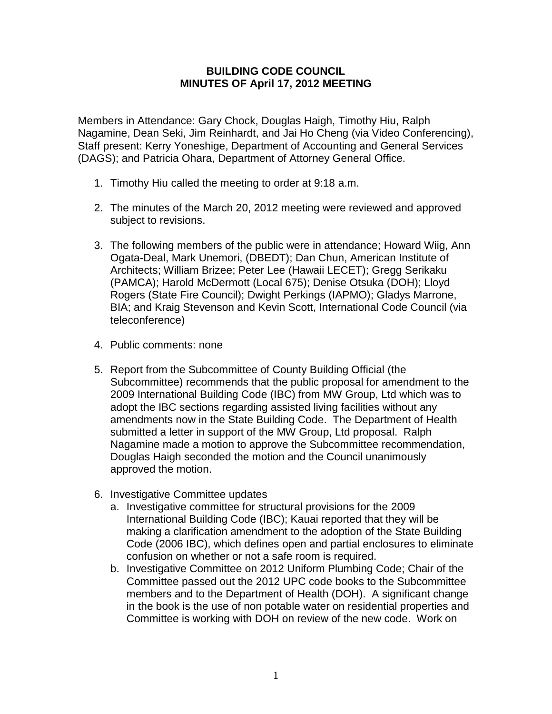## **BUILDING CODE COUNCIL MINUTES OF April 17, 2012 MEETING**

Members in Attendance: Gary Chock, Douglas Haigh, Timothy Hiu, Ralph Nagamine, Dean Seki, Jim Reinhardt, and Jai Ho Cheng (via Video Conferencing), Staff present: Kerry Yoneshige, Department of Accounting and General Services (DAGS); and Patricia Ohara, Department of Attorney General Office.

- 1. Timothy Hiu called the meeting to order at 9:18 a.m.
- 2. The minutes of the March 20, 2012 meeting were reviewed and approved subject to revisions.
- 3. The following members of the public were in attendance; Howard Wiig, Ann Ogata-Deal, Mark Unemori, (DBEDT); Dan Chun, American Institute of Architects; William Brizee; Peter Lee (Hawaii LECET); Gregg Serikaku (PAMCA); Harold McDermott (Local 675); Denise Otsuka (DOH); Lloyd Rogers (State Fire Council); Dwight Perkings (IAPMO); Gladys Marrone, BIA; and Kraig Stevenson and Kevin Scott, International Code Council (via teleconference)
- 4. Public comments: none
- 5. Report from the Subcommittee of County Building Official (the Subcommittee) recommends that the public proposal for amendment to the 2009 International Building Code (IBC) from MW Group, Ltd which was to adopt the IBC sections regarding assisted living facilities without any amendments now in the State Building Code. The Department of Health submitted a letter in support of the MW Group, Ltd proposal. Ralph Nagamine made a motion to approve the Subcommittee recommendation, Douglas Haigh seconded the motion and the Council unanimously approved the motion.
- 6. Investigative Committee updates
	- a. Investigative committee for structural provisions for the 2009 International Building Code (IBC); Kauai reported that they will be making a clarification amendment to the adoption of the State Building Code (2006 IBC), which defines open and partial enclosures to eliminate confusion on whether or not a safe room is required.
	- b. Investigative Committee on 2012 Uniform Plumbing Code; Chair of the Committee passed out the 2012 UPC code books to the Subcommittee members and to the Department of Health (DOH). A significant change in the book is the use of non potable water on residential properties and Committee is working with DOH on review of the new code. Work on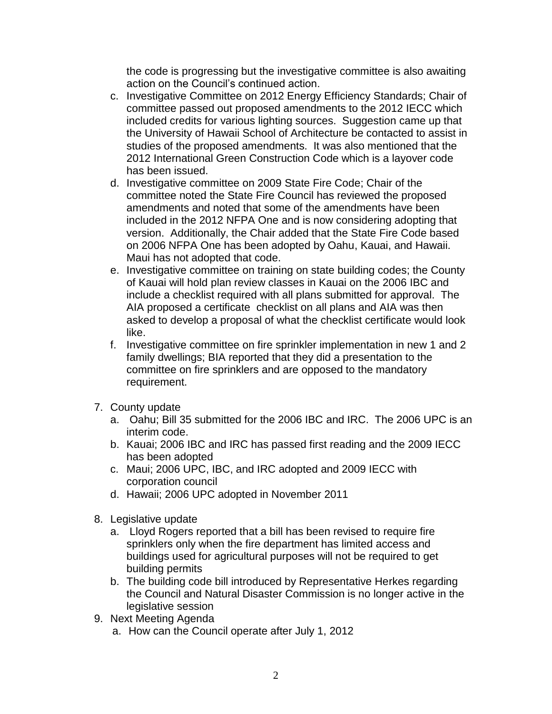the code is progressing but the investigative committee is also awaiting action on the Council's continued action.

- c. Investigative Committee on 2012 Energy Efficiency Standards; Chair of committee passed out proposed amendments to the 2012 IECC which included credits for various lighting sources. Suggestion came up that the University of Hawaii School of Architecture be contacted to assist in studies of the proposed amendments. It was also mentioned that the 2012 International Green Construction Code which is a layover code has been issued.
- d. Investigative committee on 2009 State Fire Code; Chair of the committee noted the State Fire Council has reviewed the proposed amendments and noted that some of the amendments have been included in the 2012 NFPA One and is now considering adopting that version. Additionally, the Chair added that the State Fire Code based on 2006 NFPA One has been adopted by Oahu, Kauai, and Hawaii. Maui has not adopted that code.
- e. Investigative committee on training on state building codes; the County of Kauai will hold plan review classes in Kauai on the 2006 IBC and include a checklist required with all plans submitted for approval. The AIA proposed a certificate checklist on all plans and AIA was then asked to develop a proposal of what the checklist certificate would look like.
- f. Investigative committee on fire sprinkler implementation in new 1 and 2 family dwellings; BIA reported that they did a presentation to the committee on fire sprinklers and are opposed to the mandatory requirement.
- 7. County update
	- a. Oahu; Bill 35 submitted for the 2006 IBC and IRC. The 2006 UPC is an interim code.
	- b. Kauai; 2006 IBC and IRC has passed first reading and the 2009 IECC has been adopted
	- c. Maui; 2006 UPC, IBC, and IRC adopted and 2009 IECC with corporation council
	- d. Hawaii; 2006 UPC adopted in November 2011
- 8. Legislative update
	- a. Lloyd Rogers reported that a bill has been revised to require fire sprinklers only when the fire department has limited access and buildings used for agricultural purposes will not be required to get building permits
	- b. The building code bill introduced by Representative Herkes regarding the Council and Natural Disaster Commission is no longer active in the legislative session
- 9. Next Meeting Agenda
	- a. How can the Council operate after July 1, 2012